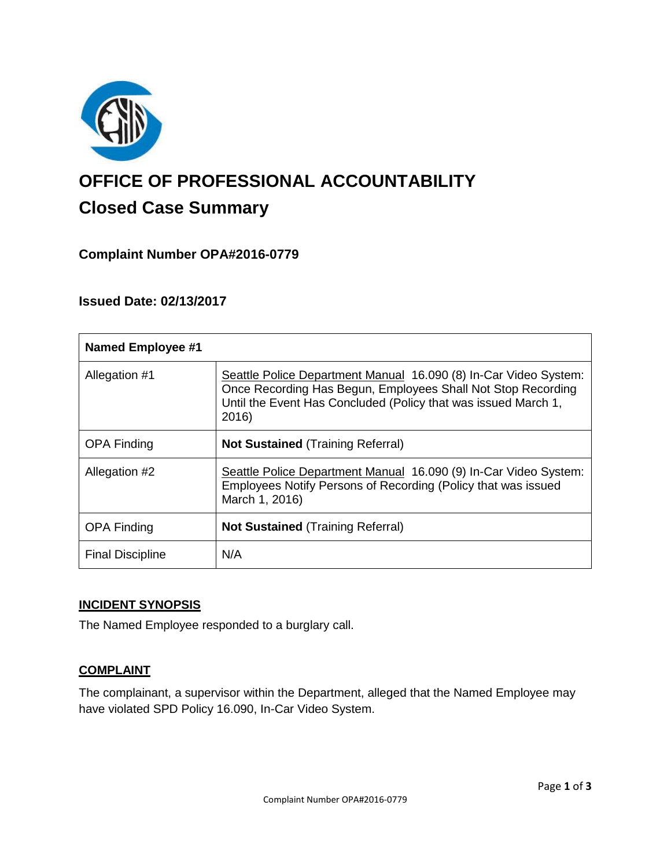

# **OFFICE OF PROFESSIONAL ACCOUNTABILITY Closed Case Summary**

## **Complaint Number OPA#2016-0779**

## **Issued Date: 02/13/2017**

| <b>Named Employee #1</b> |                                                                                                                                                                                                             |
|--------------------------|-------------------------------------------------------------------------------------------------------------------------------------------------------------------------------------------------------------|
| Allegation #1            | Seattle Police Department Manual 16.090 (8) In-Car Video System:<br>Once Recording Has Begun, Employees Shall Not Stop Recording<br>Until the Event Has Concluded (Policy that was issued March 1,<br>2016) |
| <b>OPA Finding</b>       | <b>Not Sustained (Training Referral)</b>                                                                                                                                                                    |
| Allegation #2            | Seattle Police Department Manual 16.090 (9) In-Car Video System:<br>Employees Notify Persons of Recording (Policy that was issued<br>March 1, 2016)                                                         |
| <b>OPA Finding</b>       | <b>Not Sustained</b> (Training Referral)                                                                                                                                                                    |
| <b>Final Discipline</b>  | N/A                                                                                                                                                                                                         |

## **INCIDENT SYNOPSIS**

The Named Employee responded to a burglary call.

## **COMPLAINT**

The complainant, a supervisor within the Department, alleged that the Named Employee may have violated SPD Policy 16.090, In-Car Video System.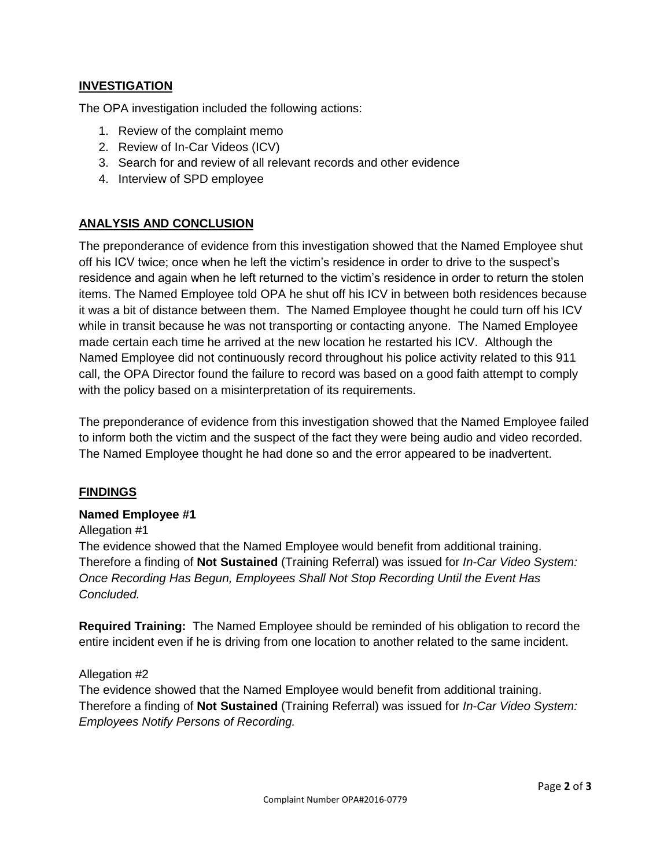#### **INVESTIGATION**

The OPA investigation included the following actions:

- 1. Review of the complaint memo
- 2. Review of In-Car Videos (ICV)
- 3. Search for and review of all relevant records and other evidence
- 4. Interview of SPD employee

#### **ANALYSIS AND CONCLUSION**

The preponderance of evidence from this investigation showed that the Named Employee shut off his ICV twice; once when he left the victim's residence in order to drive to the suspect's residence and again when he left returned to the victim's residence in order to return the stolen items. The Named Employee told OPA he shut off his ICV in between both residences because it was a bit of distance between them. The Named Employee thought he could turn off his ICV while in transit because he was not transporting or contacting anyone. The Named Employee made certain each time he arrived at the new location he restarted his ICV. Although the Named Employee did not continuously record throughout his police activity related to this 911 call, the OPA Director found the failure to record was based on a good faith attempt to comply with the policy based on a misinterpretation of its requirements.

The preponderance of evidence from this investigation showed that the Named Employee failed to inform both the victim and the suspect of the fact they were being audio and video recorded. The Named Employee thought he had done so and the error appeared to be inadvertent.

#### **FINDINGS**

#### **Named Employee #1**

#### Allegation #1

The evidence showed that the Named Employee would benefit from additional training. Therefore a finding of **Not Sustained** (Training Referral) was issued for *In-Car Video System: Once Recording Has Begun, Employees Shall Not Stop Recording Until the Event Has Concluded.*

**Required Training:** The Named Employee should be reminded of his obligation to record the entire incident even if he is driving from one location to another related to the same incident.

#### Allegation #2

The evidence showed that the Named Employee would benefit from additional training. Therefore a finding of **Not Sustained** (Training Referral) was issued for *In-Car Video System: Employees Notify Persons of Recording.*